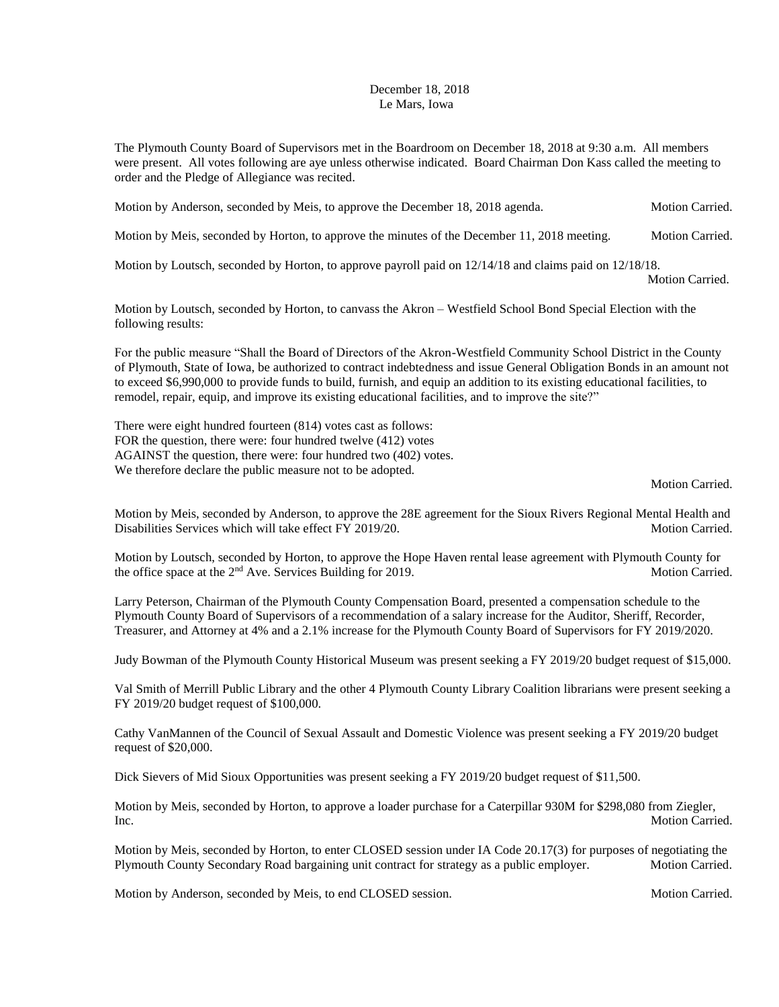## December 18, 2018 Le Mars, Iowa

The Plymouth County Board of Supervisors met in the Boardroom on December 18, 2018 at 9:30 a.m. All members were present. All votes following are aye unless otherwise indicated. Board Chairman Don Kass called the meeting to order and the Pledge of Allegiance was recited.

Motion by Anderson, seconded by Meis, to approve the December 18, 2018 agenda. Motion Carried.

Motion by Meis, seconded by Horton, to approve the minutes of the December 11, 2018 meeting. Motion Carried.

Motion by Loutsch, seconded by Horton, to approve payroll paid on 12/14/18 and claims paid on 12/18/18.

Motion Carried.

Motion by Loutsch, seconded by Horton, to canvass the Akron – Westfield School Bond Special Election with the following results:

For the public measure "Shall the Board of Directors of the Akron-Westfield Community School District in the County of Plymouth, State of Iowa, be authorized to contract indebtedness and issue General Obligation Bonds in an amount not to exceed \$6,990,000 to provide funds to build, furnish, and equip an addition to its existing educational facilities, to remodel, repair, equip, and improve its existing educational facilities, and to improve the site?"

There were eight hundred fourteen (814) votes cast as follows: FOR the question, there were: four hundred twelve (412) votes AGAINST the question, there were: four hundred two (402) votes. We therefore declare the public measure not to be adopted.

Motion Carried.

Motion by Meis, seconded by Anderson, to approve the 28E agreement for the Sioux Rivers Regional Mental Health and Disabilities Services which will take effect FY 2019/20. Motion Carried.

Motion by Loutsch, seconded by Horton, to approve the Hope Haven rental lease agreement with Plymouth County for the office space at the 2<sup>nd</sup> Ave. Services Building for 2019. Motion Carried.

Larry Peterson, Chairman of the Plymouth County Compensation Board, presented a compensation schedule to the Plymouth County Board of Supervisors of a recommendation of a salary increase for the Auditor, Sheriff, Recorder, Treasurer, and Attorney at 4% and a 2.1% increase for the Plymouth County Board of Supervisors for FY 2019/2020.

Judy Bowman of the Plymouth County Historical Museum was present seeking a FY 2019/20 budget request of \$15,000.

Val Smith of Merrill Public Library and the other 4 Plymouth County Library Coalition librarians were present seeking a FY 2019/20 budget request of \$100,000.

Cathy VanMannen of the Council of Sexual Assault and Domestic Violence was present seeking a FY 2019/20 budget request of \$20,000.

Dick Sievers of Mid Sioux Opportunities was present seeking a FY 2019/20 budget request of \$11,500.

Motion by Meis, seconded by Horton, to approve a loader purchase for a Caterpillar 930M for \$298,080 from Ziegler, Inc. Motion Carried.

Motion by Meis, seconded by Horton, to enter CLOSED session under IA Code 20.17(3) for purposes of negotiating the Plymouth County Secondary Road bargaining unit contract for strategy as a public employer. Motion Carried.

Motion by Anderson, seconded by Meis, to end CLOSED session. Motion Carried. Motion Carried.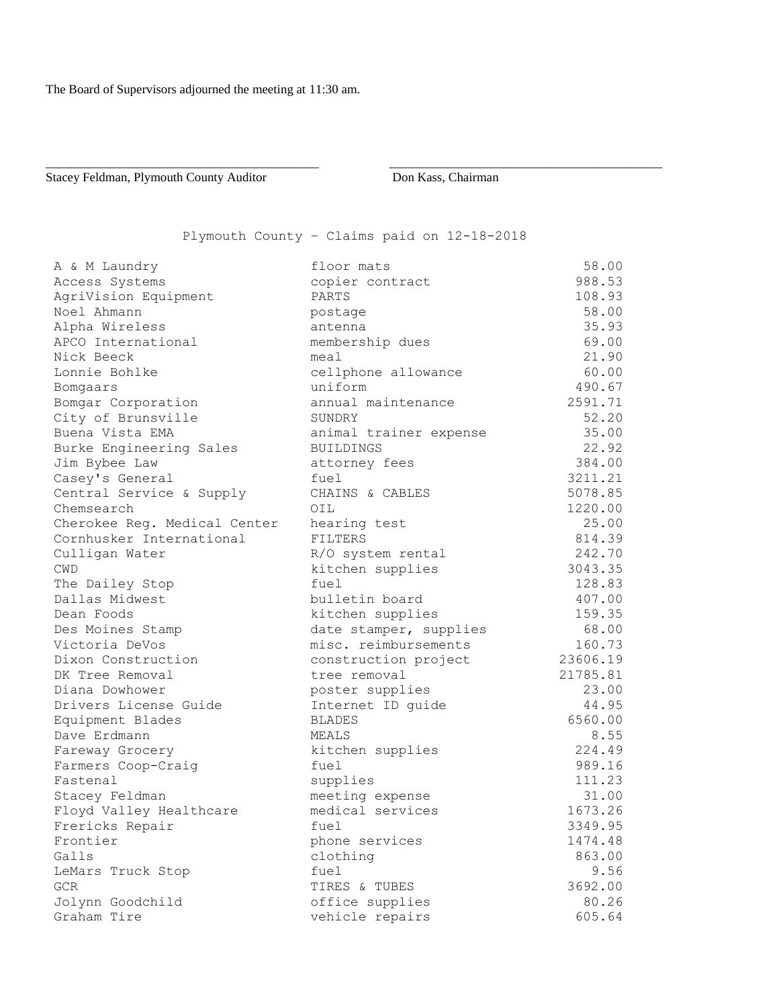Stacey Feldman, Plymouth County Auditor Don Kass, Chairman

## Plymouth County – Claims paid on 12-18-2018

\_\_\_\_\_\_\_\_\_\_\_\_\_\_\_\_\_\_\_\_\_\_\_\_\_\_\_\_\_\_\_\_\_\_\_\_\_\_\_\_\_\_\_ \_\_\_\_\_\_\_\_\_\_\_\_\_\_\_\_\_\_\_\_\_\_\_\_\_\_\_\_\_\_\_\_\_\_\_\_\_\_\_\_\_\_\_

| A & M Laundry                | floor mats             | 58.00    |
|------------------------------|------------------------|----------|
| Access Systems               | copier contract        | 988.53   |
| AgriVision Equipment         | PARTS                  | 108.93   |
| Noel Ahmann                  | postage                | 58.00    |
| Alpha Wireless               | antenna                | 35.93    |
| APCO International           | membership dues        | 69.00    |
| Nick Beeck                   | meal                   | 21.90    |
| Lonnie Bohlke                | cellphone allowance    | 60.00    |
| Bomgaars                     | uniform                | 490.67   |
| Bomgar Corporation           | annual maintenance     | 2591.71  |
| City of Brunsville           | SUNDRY                 | 52.20    |
| Buena Vista EMA              | animal trainer expense | 35.00    |
| Burke Engineering Sales      | <b>BUILDINGS</b>       | 22.92    |
| Jim Bybee Law                | attorney fees          | 384.00   |
| Casey's General              | fuel                   | 3211.21  |
| Central Service & Supply     | CHAINS & CABLES        | 5078.85  |
| Chemsearch                   | OIL                    | 1220.00  |
| Cherokee Reg. Medical Center | hearing test           | 25.00    |
| Cornhusker International     | FILTERS                | 814.39   |
| Culligan Water               | R/O system rental      | 242.70   |
| <b>CWD</b>                   | kitchen supplies       | 3043.35  |
| The Dailey Stop              | fuel                   | 128.83   |
| Dallas Midwest               | bulletin board         | 407.00   |
| Dean Foods                   | kitchen supplies       | 159.35   |
| Des Moines Stamp             | date stamper, supplies | 68.00    |
| Victoria DeVos               | misc. reimbursements   | 160.73   |
| Dixon Construction           | construction project   | 23606.19 |
| DK Tree Removal              | tree removal           | 21785.81 |
| Diana Dowhower               | poster supplies        | 23.00    |
| Drivers License Guide        | Internet ID guide      | 44.95    |
| Equipment Blades             | <b>BLADES</b>          | 6560.00  |
| Dave Erdmann                 | MEALS                  | 8.55     |
| Fareway Grocery              | kitchen supplies       | 224.49   |
| Farmers Coop-Craig           | fuel                   | 989.16   |
| Fastenal                     | supplies               | 111.23   |
| Stacey Feldman               | meeting expense        | 31.00    |
| Floyd Valley Healthcare      | medical services       | 1673.26  |
| Frericks Repair              | fuel                   | 3349.95  |
| Frontier                     | phone services         | 1474.48  |
| Galls                        | clothing               | 863.00   |
| LeMars Truck Stop            | fuel                   | 9.56     |
| GCR                          | TIRES & TUBES          | 3692.00  |
| Jolynn Goodchild             | office supplies        | 80.26    |
| Graham Tire                  | vehicle repairs        | 605.64   |
|                              |                        |          |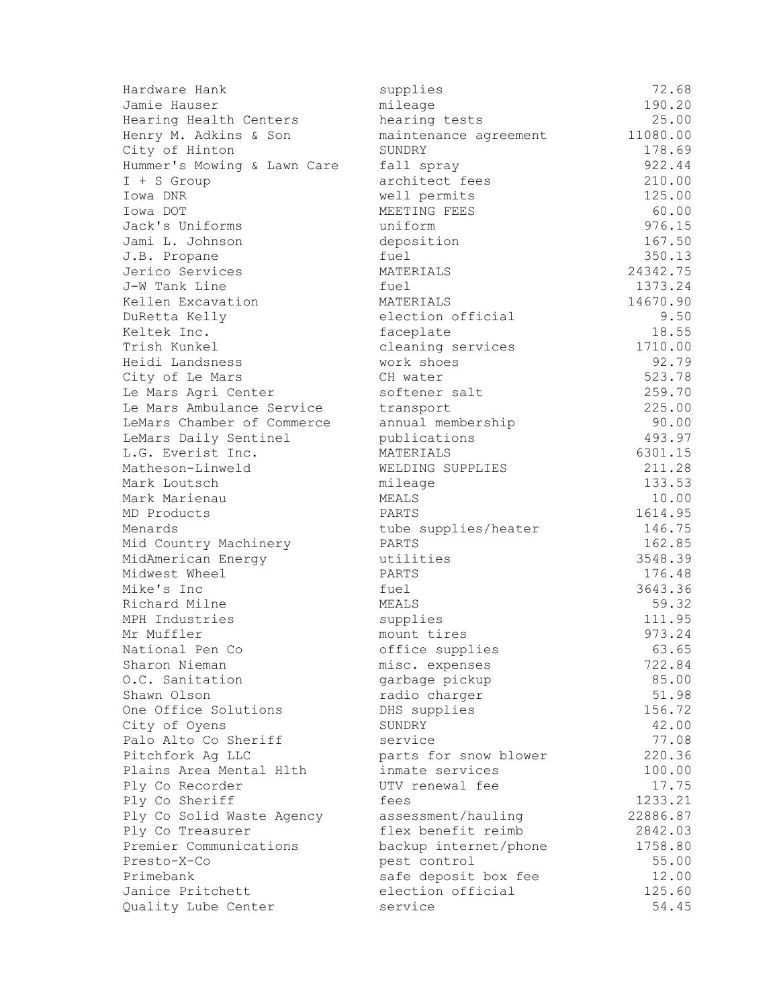| Hardware Hank               | supplies              | 72.68    |
|-----------------------------|-----------------------|----------|
| Jamie Hauser                | mileage               | 190.20   |
| Hearing Health Centers      | hearing tests         | 25.00    |
| Henry M. Adkins & Son       | maintenance agreement | 11080.00 |
| City of Hinton              | SUNDRY                | 178.69   |
| Hummer's Mowing & Lawn Care | fall spray            | 922.44   |
| $I + S$ Group               | architect fees        | 210.00   |
| Iowa DNR                    | well permits          | 125.00   |
| Iowa DOT                    | MEETING FEES          | 60.00    |
| Jack's Uniforms             | uniform               | 976.15   |
| Jami L. Johnson             | deposition            | 167.50   |
| J.B. Propane                | fuel                  | 350.13   |
| Jerico Services             | MATERIALS             | 24342.75 |
| J-W Tank Line               | fuel                  | 1373.24  |
| Kellen Excavation           | MATERIALS             | 14670.90 |
| DuRetta Kelly               | election official     | 9.50     |
| Keltek Inc.                 | faceplate             | 18.55    |
| Trish Kunkel                | cleaning services     | 1710.00  |
| Heidi Landsness             | work shoes            | 92.79    |
| City of Le Mars             | CH water              | 523.78   |
| Le Mars Agri Center         | softener salt         | 259.70   |
| Le Mars Ambulance Service   | transport             | 225.00   |
| LeMars Chamber of Commerce  | annual membership     | 90.00    |
| LeMars Daily Sentinel       | publications          | 493.97   |
| L.G. Everist Inc.           | MATERIALS             | 6301.15  |
| Matheson-Linweld            | WELDING SUPPLIES      | 211.28   |
| Mark Loutsch                | mileage               | 133.53   |
| Mark Marienau               | MEALS                 | 10.00    |
| MD Products                 | PARTS                 | 1614.95  |
| Menards                     | tube supplies/heater  | 146.75   |
| Mid Country Machinery       | PARTS                 | 162.85   |
| MidAmerican Energy          | utilities             | 3548.39  |
| Midwest Wheel               | PARTS                 | 176.48   |
| Mike's Inc                  | fuel                  | 3643.36  |
| Richard Milne               | MEALS                 | 59.32    |
| MPH Industries              | supplies              | 111.95   |
| Mr Muffler                  | mount tires           | 973.24   |
| National Pen Co             | office supplies       | 63.65    |
| Sharon Nieman               | misc. expenses        | 722.84   |
| O.C. Sanitation             | garbage pickup        | 85.00    |
| Shawn Olson                 | radio charger         | 51.98    |
| One Office Solutions        | DHS supplies          | 156.72   |
| City of Oyens               | SUNDRY                | 42.00    |
| Palo Alto Co Sheriff        | service               | 77.08    |
| Pitchfork Ag LLC            | parts for snow blower | 220.36   |
| Plains Area Mental Hlth     | inmate services       | 100.00   |
| Ply Co Recorder             | UTV renewal fee       | 17.75    |
| Ply Co Sheriff              | fees                  | 1233.21  |
| Ply Co Solid Waste Agency   | assessment/hauling    | 22886.87 |
| Ply Co Treasurer            | flex benefit reimb    | 2842.03  |
| Premier Communications      | backup internet/phone | 1758.80  |
| Presto-X-Co                 | pest control          | 55.00    |
| Primebank                   | safe deposit box fee  | 12.00    |
| Janice Pritchett            | election official     | 125.60   |
| Quality Lube Center         | service               | 54.45    |
|                             |                       |          |